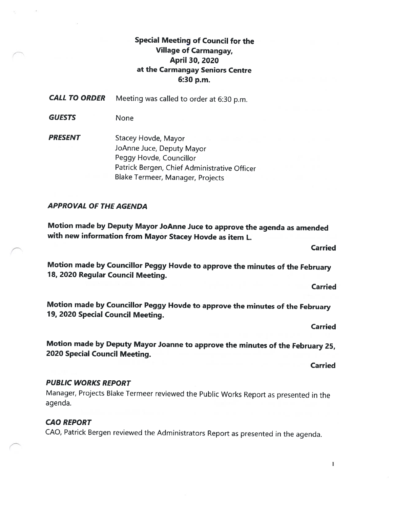# Special Meeting of Council for the Village of Carmangay, April 30, 2020 at the Carmangay Seniors Centre 6:30 p.m.

**CALL TO ORDER** Meeting was called to order at 6:30 p.m.

GUESTS None

**PRESENT** Stacey Hovde, Mayor JoAnne Juce, Deputy Mayor Peggy Hovde, Councillor Patrick Bergen, Chief Administrative Officer Blake Termeer, Manager, Projects

## APPROVAL OF THE AGENDA

Motion made by Deputy Mayor JoAnne Juce to approve the agenda as amended with new information from Mayor Stacey Hovde as item L.

Motion made by Councillor Peggy Hovde to approve the minutes of the February 78, 2020 Regular Council Meeting.

Motion made by Councillor Peggy Hovde to approve the minutes of the February 19, <sup>2020</sup> Special Council Meeting.

Carried

Carried

Carried

Motion made by Deputy Mayor Joanne to approve the minutes of the February 25, <sup>2020</sup> Special Council Meeting.

Carried

#### PUBLIC WORKS REPORT

Manager, Projects Blake Termeer reviewed the Public Works Report as presented in the agenda.

#### CAO REPORT

CAO, Patrick Bergen reviewed the Administrators Report as presented in the agenda.

1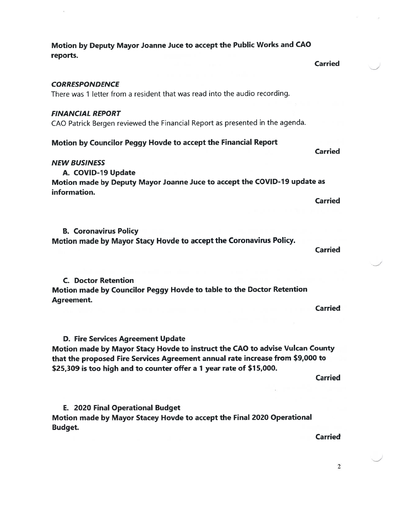Motion by Deputy Mayor Joanne Juce to accep<sup>t</sup> the Public Works and CAO reports.

**CORRESPONDENCE** 

There was 1 letter from <sup>a</sup> resident that was read into the audio recording.

#### FINANCIAL REPORT

CAD Patrick Bergen reviewed the Financial Report as presented in the agenda.

#### Motion by Councilor Peggy Hovde to accep<sup>t</sup> the Financial Report

#### NEW BUSINESS

A. COVID-19 Update Motion made by Deputy Mayor Joanne Juce to accep<sup>t</sup> the COVID-79 update as information.

B. Coronavirus Policy Motion made by Mayor Stacy Hovde to accep<sup>t</sup> the Coronavirus Policy.

C. Doctor Retention Motion made by Councilor Peggy Hovde to table to the Doctor Retention Agreement.

Carried

D. Fire Services Agreement Update Motion made by Mayor Stacy Hovde to instruct the CAO to advise Vulcan County that the proposed Fire Services Agreement annual rate increase from \$9,000 to \$25,309 is too high and to counter offer a 1 year rate of \$15,000.

**Carried** 

**Carried** 

Carried

Carried

Carried

E. 2020 Final Operational Budget Motion made by Mayor Stacey Hovde to accep<sup>t</sup> the Final 2020 Operational Budget.

Carried

2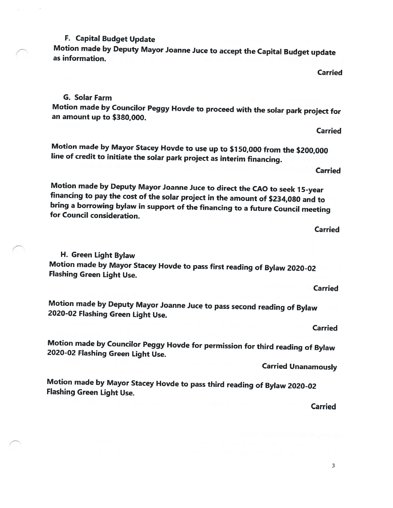3

#### F. Capital Budget Update

Motion made by Deputy Mayor Joanne Juce to accept the Capital Budget update as information.

Carried

#### G. Solar Farm

Motion made by Councilor Peggy Hovde to proceed with the solar park project for an amount up to \$380,000.

Motion made by Mayor Stacey Hovde to use up to \$150,000 from the \$200,000 line of credit to initiate the solar park project as interim financing.

**Carried** 

Carried

Motion made by Deputy Mayor Joanne Juce to direct the CAO to seek 15-year financing to pay the cost of the solar project in the amount of \$234,080 and to bring <sup>a</sup> borrowing bylaw in support of the financing to <sup>a</sup> future Council meeting for Council consideration.

H. Green Light Bylaw Motion made by Mayor Stacey Hovde to pass first reading of Bylaw 2020-02 Flashing Green Light Use.

Motion made by Deputy Mayor Joanne Juce to pass second reading of Bylaw 2020-02 Flashing Green Light Use.

Carried

Carried

Motion made by Councilor Peggy Hovde for permission for third reading of Bylaw 2020-02 Flashing Green Light Use.

Carried Unanamously

Motion made by Mayor Stacey Hovde to pass third reading of Bylaw 2020-02 Flashing Green Light Use.

Carried

#### Carried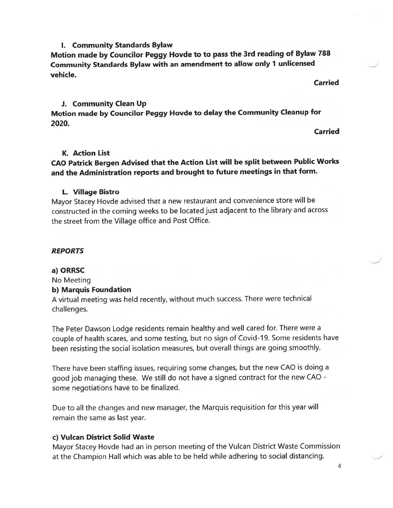#### I. Community Standards Bylaw

Motion made by Councilor Peggy Hovde to to pass the 3rd reading of Bylaw <sup>788</sup> Community Standards Bylaw with an amendment to allow only <sup>1</sup> unlicensed vehicle.

Carried

#### J. Community Clean Up

Motion made by Councilor Peggy Hovde to delay the Community Cleanup for 2020.

Carried

#### K. Action List

## CAO Patrick Bergen Advised that the Action List will be split between Public Works and the Administration reports and brought to future meetings in that form.

#### L. Village Bistro

Mayor Stacey Hovde advised that <sup>a</sup> new restaurant and convenience store will be constructed in the coming weeks to be located just adjacent to the library and across the street from the Village office and Post Office.

#### REPORTS

#### a) ORRSC

No Meeting

#### b) Marquis Foundation

<sup>A</sup> virtual meeting was held recently, without much success. There were technical challenges.

The Peter Dawson Lodge residents remain healthy and well cared for. There were <sup>a</sup> couple of health scares, and some testing, but no sign of Covid-19. Some residents have been resisting the social isolation measures, but overall things are going smoothly.

There have been staffing issues, requiring some changes, but the new CAO is doing <sup>a</sup> goo<sup>d</sup> job managing these. We still do not have <sup>a</sup> signed contract for the new CAO some negotiations have to be finalized.

Due to all the changes and new manager, the Marquis requisition for this year will remain the same as last year.

#### c) Vulcan District Solid Waste

Mayor Stacey Hovde had an in person meeting of the Vulcan District Waste Commission at the Champion Hall which was able to be held while adhering to social distancing.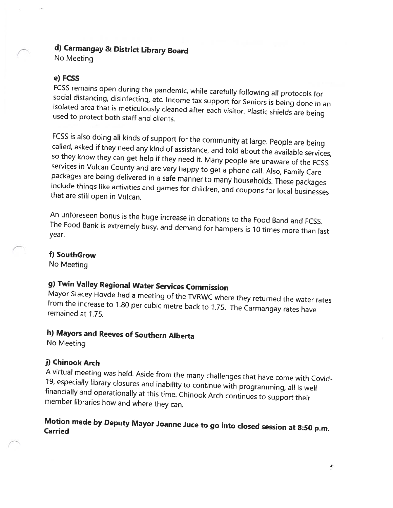# d) Carmangay & District Library Board

No Meeting

#### e) FCSS

FCSS remains open during the pandemic, while carefully following all protocols for social distancing, disinfecting, etc. Income tax support for Seniors is being done in an isolated area that is meticulously cleaned after each visitor. Plastic shields are being used to protect both staff and clients.

FCSS is also doing all kinds of support for the community at large. People are being called, asked if they need any kind of assistance, and told about the available services, so they know they can get help if they need it. Many people are unaware of the FCSS services in Vulcan County and are very happy to get <sup>a</sup> phone call. Also, Family Care packages are being delivered in <sup>a</sup> safe manner to many households. These packages include things like activities and games for children, and coupons for local businesses that are still open in Vulcan.

An unforeseen bonus is the huge increase in donations to the Food Band and FCSS. The Food Bank is extremely busy, and demand for hampers is <sup>10</sup> times more than last year.

#### f) SouthGrow

No Meeting

# g) Twin Valley Regional Water Services Commission

Mayor Stacey Hovde had <sup>a</sup> meeting of the TVRWC where they returned the water rates from the increase to 1.80 per cubic metre back to 1.75. The Carmangay rates have remained at 1.75.

# h) Mayors and Reeves of Southern Alberta

No Meeting

#### j) Chinook Arch

<sup>A</sup> virtual meeting was held. Aside from the many challenges that have come with Covid 19, especially library closures and inability to continue with programming, all is well financially and operationally at this time. Chinook Arch continues to support their member libraries how and where they can.

# Motion made by Deputy Mayor Joanne Juce to go into closed session at 8:50 p.m. Carried